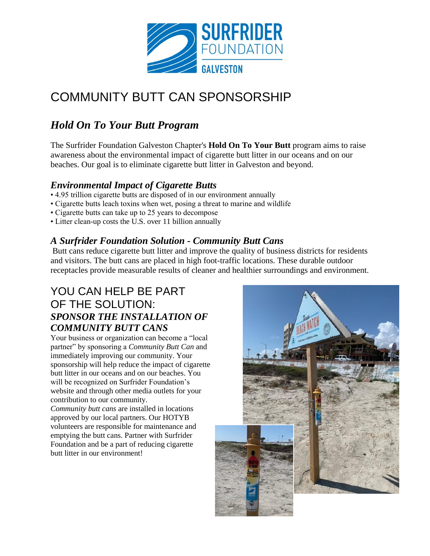

# COMMUNITY BUTT CAN SPONSORSHIP

# *Hold On To Your Butt Program*

The Surfrider Foundation Galveston Chapter's **Hold On To Your Butt** program aims to raise awareness about the environmental impact of cigarette butt litter in our oceans and on our beaches. Our goal is to eliminate cigarette butt litter in Galveston and beyond.

### *Environmental Impact of Cigarette Butts*

- 4.95 trillion cigarette butts are disposed of in our environment annually
- Cigarette butts leach toxins when wet, posing a threat to marine and wildlife
- Cigarette butts can take up to 25 years to decompose
- Litter clean-up costs the U.S. over 11 billion annually

### *A Surfrider Foundation Solution - Community Butt Cans*

Butt cans reduce cigarette butt litter and improve the quality of business districts for residents and visitors. The butt cans are placed in high foot-traffic locations. These durable outdoor receptacles provide measurable results of cleaner and healthier surroundings and environment.

## YOU CAN HELP BE PART OF THE SOLUTION: *SPONSOR THE INSTALLATION OF COMMUNITY BUTT CANS*

Your business or organization can become a "local partner" by sponsoring a *Community Butt Can* and immediately improving our community. Your sponsorship will help reduce the impact of cigarette butt litter in our oceans and on our beaches. You will be recognized on Surfrider Foundation's website and through other media outlets for your contribution to our community.

*Community butt cans* are installed in locations approved by our local partners. Our HOTYB volunteers are responsible for maintenance and emptying the butt cans. Partner with Surfrider Foundation and be a part of reducing cigarette butt litter in our environment!